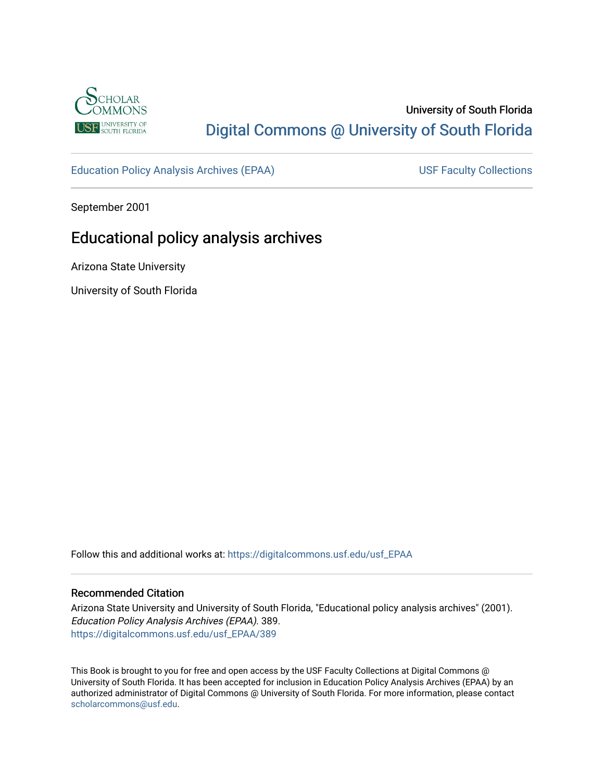

# University of South Florida [Digital Commons @ University of South Florida](https://digitalcommons.usf.edu/)

[Education Policy Analysis Archives \(EPAA\)](https://digitalcommons.usf.edu/usf_EPAA) USF Faculty Collections

September 2001

# Educational policy analysis archives

Arizona State University

University of South Florida

Follow this and additional works at: [https://digitalcommons.usf.edu/usf\\_EPAA](https://digitalcommons.usf.edu/usf_EPAA?utm_source=digitalcommons.usf.edu%2Fusf_EPAA%2F389&utm_medium=PDF&utm_campaign=PDFCoverPages)

#### Recommended Citation

Arizona State University and University of South Florida, "Educational policy analysis archives" (2001). Education Policy Analysis Archives (EPAA). 389. [https://digitalcommons.usf.edu/usf\\_EPAA/389](https://digitalcommons.usf.edu/usf_EPAA/389?utm_source=digitalcommons.usf.edu%2Fusf_EPAA%2F389&utm_medium=PDF&utm_campaign=PDFCoverPages)

This Book is brought to you for free and open access by the USF Faculty Collections at Digital Commons @ University of South Florida. It has been accepted for inclusion in Education Policy Analysis Archives (EPAA) by an authorized administrator of Digital Commons @ University of South Florida. For more information, please contact [scholarcommons@usf.edu.](mailto:scholarcommons@usf.edu)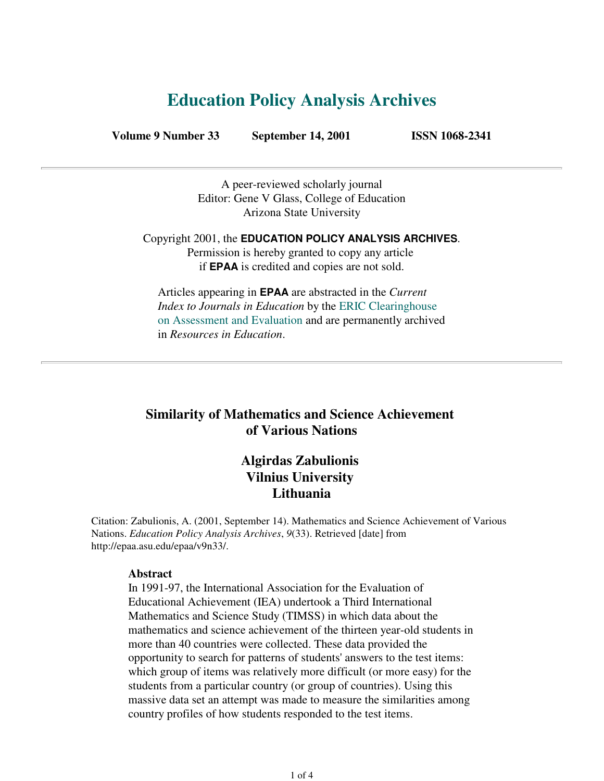# **Education Policy Analysis Archives**

**Volume 9 Number 33 September 14, 2001 ISSN 1068-2341**

A peer-reviewed scholarly journal Editor: Gene V Glass, College of Education Arizona State University

Copyright 2001, the **EDUCATION POLICY ANALYSIS ARCHIVES**. Permission is hereby granted to copy any article if **EPAA** is credited and copies are not sold.

Articles appearing in **EPAA** are abstracted in the *Current Index to Journals in Education* by the ERIC Clearinghouse on Assessment and Evaluation and are permanently archived in *Resources in Education*.

# **Similarity of Mathematics and Science Achievement of Various Nations**

# **Algirdas Zabulionis Vilnius University Lithuania**

Citation: Zabulionis, A. (2001, September 14). Mathematics and Science Achievement of Various Nations. *Education Policy Analysis Archives*, *9*(33). Retrieved [date] from http://epaa.asu.edu/epaa/v9n33/.

#### **Abstract**

In 1991-97, the International Association for the Evaluation of Educational Achievement (IEA) undertook a Third International Mathematics and Science Study (TIMSS) in which data about the mathematics and science achievement of the thirteen year-old students in more than 40 countries were collected. These data provided the opportunity to search for patterns of students' answers to the test items: which group of items was relatively more difficult (or more easy) for the students from a particular country (or group of countries). Using this massive data set an attempt was made to measure the similarities among country profiles of how students responded to the test items.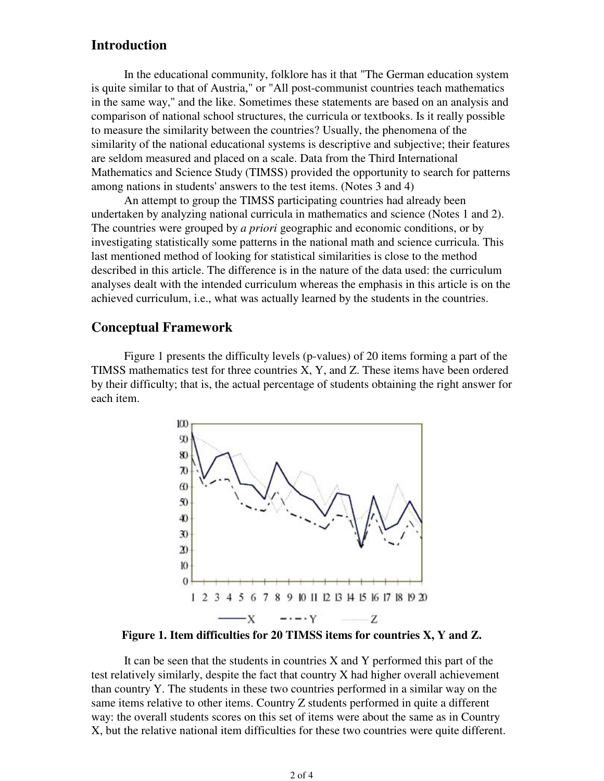# **Introduction**

 In the educational community, folklore has it that "The German education system is quite similar to that of Austria," or "All post-communist countries teach mathematics in the same way," and the like. Sometimes these statements are based on an analysis and comparison of national school structures, the curricula or textbooks. Is it really possible to measure the similarity between the countries? Usually, the phenomena of the similarity of the national educational systems is descriptive and subjective; their features are seldom measured and placed on a scale. Data from the Third International Mathematics and Science Study (TIMSS) provided the opportunity to search for patterns among nations in students' answers to the test items. (Notes 3 and 4)

 An attempt to group the TIMSS participating countries had already been undertaken by analyzing national curricula in mathematics and science (Notes 1 and 2). The countries were grouped by *a priori* geographic and economic conditions, or by investigating statistically some patterns in the national math and science curricula. This last mentioned method of looking for statistical similarities is close to the method described in this article. The difference is in the nature of the data used: the curriculum analyses dealt with the intended curriculum whereas the emphasis in this article is on the achieved curriculum, i.e., what was actually learned by the students in the countries.

# **Conceptual Framework**

 Figure 1 presents the difficulty levels (p-values) of 20 items forming a part of the TIMSS mathematics test for three countries X, Y, and Z. These items have been ordered by their difficulty; that is, the actual percentage of students obtaining the right answer for each item.



**Figure 1. Item difficulties for 20 TIMSS items for countries X, Y and Z.**

 It can be seen that the students in countries X and Y performed this part of the test relatively similarly, despite the fact that country X had higher overall achievement than country Y. The students in these two countries performed in a similar way on the same items relative to other items. Country Z students performed in quite a different way: the overall students scores on this set of items were about the same as in Country X, but the relative national item difficulties for these two countries were quite different.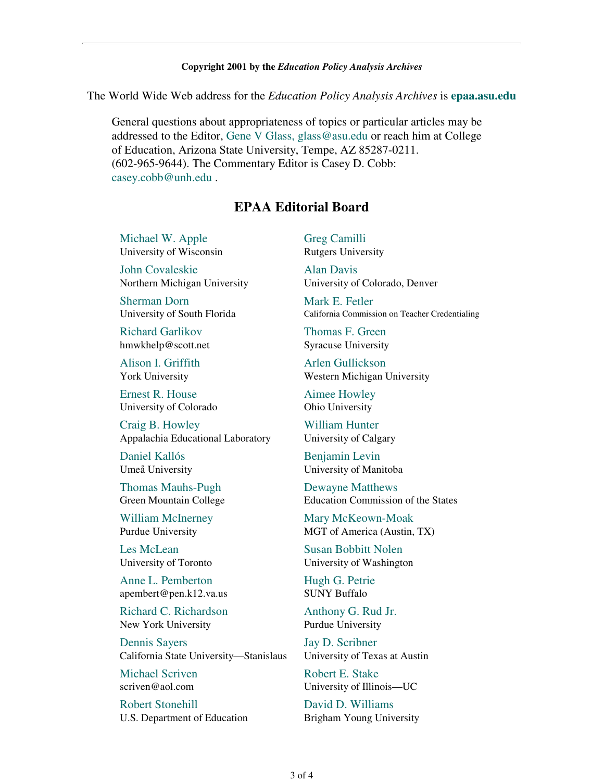#### **Copyright 2001 by the** *Education Policy Analysis Archives*

The World Wide Web address for the *Education Policy Analysis Archives* is **epaa.asu.edu**

General questions about appropriateness of topics or particular articles may be addressed to the Editor, Gene V Glass, glass@asu.edu or reach him at College of Education, Arizona State University, Tempe, AZ 85287-0211. (602-965-9644). The Commentary Editor is Casey D. Cobb: casey.cobb@unh.edu .

## **EPAA Editorial Board**

Michael W. Apple University of Wisconsin

John Covaleskie Northern Michigan University

Sherman Dorn University of South Florida

Richard Garlikov hmwkhelp@scott.net

Alison I. Griffith York University

Ernest R. House University of Colorado

Craig B. Howley Appalachia Educational Laboratory

Daniel Kallós Umeå University

Thomas Mauhs-Pugh Green Mountain College

William McInerney Purdue University

Les McLean University of Toronto

Anne L. Pemberton apembert@pen.k12.va.us

Richard C. Richardson New York University

Dennis Sayers California State University—Stanislaus

Michael Scriven scriven@aol.com

Robert Stonehill U.S. Department of Education Greg Camilli Rutgers University

Alan Davis University of Colorado, Denver

Mark E. Fetler California Commission on Teacher Credentialing

Thomas F. Green Syracuse University

Arlen Gullickson Western Michigan University

Aimee Howley Ohio University

William Hunter University of Calgary

Benjamin Levin University of Manitoba

Dewayne Matthews Education Commission of the States

Mary McKeown-Moak MGT of America (Austin, TX)

Susan Bobbitt Nolen University of Washington

Hugh G. Petrie SUNY Buffalo

Anthony G. Rud Jr. Purdue University

Jay D. Scribner University of Texas at Austin

Robert E. Stake University of Illinois—UC

David D. Williams Brigham Young University